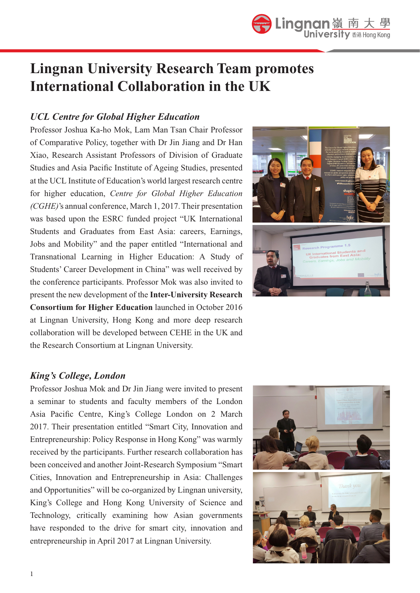## **Lingnan University Research Team promotes International Collaboration in the UK**

## *UCL Centre for Global Higher Education*

Professor Joshua Ka-ho Mok, Lam Man Tsan Chair Professor of Comparative Policy, together with Dr Jin Jiang and Dr Han Xiao, Research Assistant Professors of Division of Graduate Studies and Asia Pacific Institute of Ageing Studies, presented at the UCL Institute of Education's world largest research centre for higher education, *Centre for Global Higher Education (CGHE)*'s annual conference, March 1, 2017. Their presentation was based upon the ESRC funded project "UK International Students and Graduates from East Asia: careers, Earnings, Jobs and Mobility" and the paper entitled "International and Transnational Learning in Higher Education: A Study of Students' Career Development in China" was well received by the conference participants. Professor Mok was also invited to present the new development of the **Inter-University Research Consortium for Higher Education** launched in October 2016 at Lingnan University, Hong Kong and more deep research collaboration will be developed between CEHE in the UK and the Research Consortium at Lingnan University.



## *King's College, London*

Professor Joshua Mok and Dr Jin Jiang were invited to present a seminar to students and faculty members of the London Asia Pacific Centre, King's College London on 2 March 2017. Their presentation entitled "Smart City, Innovation and Entrepreneurship: Policy Response in Hong Kong" was warmly received by the participants. Further research collaboration has been conceived and another Joint-Research Symposium "Smart Cities, Innovation and Entrepreneurship in Asia: Challenges and Opportunities" will be co-organized by Lingnan university, King's College and Hong Kong University of Science and Technology, critically examining how Asian governments have responded to the drive for smart city, innovation and entrepreneurship in April 2017 at Lingnan University.